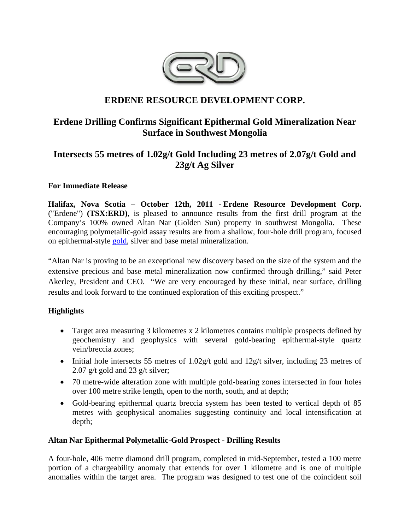

# **ERDENE RESOURCE DEVELOPMENT CORP.**

## **Erdene Drilling Confirms Significant Epithermal Gold Mineralization Near Surface in Southwest Mongolia**

# **Intersects 55 metres of 1.02g/t Gold Including 23 metres of 2.07g/t Gold and 23g/t Ag Silver**

## **For Immediate Release**

**Halifax, Nova Scotia – October 12th, 2011 - Erdene Resource Development Corp.**  ("Erdene") **(TSX:ERD)**, is pleased to announce results from the first drill program at the Company's 100% owned Altan Nar (Golden Sun) property in southwest Mongolia. These encouraging polymetallic-gold assay results are from a shallow, four-hole drill program, focused on epithermal-style gold, silver and base metal mineralization.

"Altan Nar is proving to be an exceptional new discovery based on the size of the system and the extensive precious and base metal mineralization now confirmed through drilling," said Peter Akerley, President and CEO. "We are very encouraged by these initial, near surface, drilling results and look forward to the continued exploration of this exciting prospect."

## **Highlights**

- Target area measuring 3 kilometres x 2 kilometres contains multiple prospects defined by geochemistry and geophysics with several gold-bearing epithermal-style quartz vein/breccia zones;
- Initial hole intersects 55 metres of  $1.02g/t$  gold and  $12g/t$  silver, including 23 metres of 2.07 g/t gold and 23 g/t silver;
- 70 metre-wide alteration zone with multiple gold-bearing zones intersected in four holes over 100 metre strike length, open to the north, south, and at depth;
- Gold-bearing epithermal quartz breccia system has been tested to vertical depth of 85 metres with geophysical anomalies suggesting continuity and local intensification at depth;

## **Altan Nar Epithermal Polymetallic-Gold Prospect - Drilling Results**

A four-hole, 406 metre diamond drill program, completed in mid-September, tested a 100 metre portion of a chargeability anomaly that extends for over 1 kilometre and is one of multiple anomalies within the target area. The program was designed to test one of the coincident soil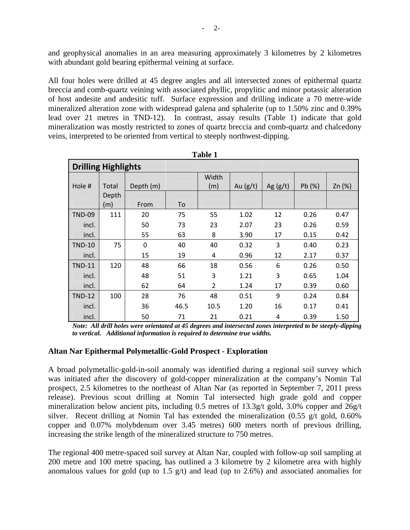and geophysical anomalies in an area measuring approximately 3 kilometres by 2 kilometres with abundant gold bearing epithermal veining at surface.

All four holes were drilled at 45 degree angles and all intersected zones of epithermal quartz breccia and comb-quartz veining with associated phyllic, propylitic and minor potassic alteration of host andesite and andesitic tuff. Surface expression and drilling indicate a 70 metre-wide mineralized alteration zone with widespread galena and sphalerite (up to 1.50% zinc and 0.39% lead over 21 metres in TND-12). In contrast, assay results (Table 1) indicate that gold mineralization was mostly restricted to zones of quartz breccia and comb-quartz and chalcedony veins, interpreted to be oriented from vertical to steeply northwest-dipping.

| <b>Drilling Highlights</b> |       |           |      |                |            |            |        |        |
|----------------------------|-------|-----------|------|----------------|------------|------------|--------|--------|
|                            |       |           |      | Width          |            |            |        |        |
| Hole #                     | Total | Depth (m) |      | (m)            | Au $(g/t)$ | Ag $(g/t)$ | Pb (%) | Zn (%) |
|                            | Depth |           |      |                |            |            |        |        |
|                            | (m)   | From      | To   |                |            |            |        |        |
| <b>TND-09</b>              | 111   | 20        | 75   | 55             | 1.02       | 12         | 0.26   | 0.47   |
| incl.                      |       | 50        | 73   | 23             | 2.07       | 23         | 0.26   | 0.59   |
| incl.                      |       | 55        | 63   | 8              | 3.90       | 17         | 0.15   | 0.42   |
| <b>TND-10</b>              | 75    | 0         | 40   | 40             | 0.32       | 3          | 0.40   | 0.23   |
| incl.                      |       | 15        | 19   | 4              | 0.96       | 12         | 2.17   | 0.37   |
| <b>TND-11</b>              | 120   | 48        | 66   | 18             | 0.56       | 6          | 0.26   | 0.50   |
| incl.                      |       | 48        | 51   | 3              | 1.21       | 3          | 0.65   | 1.04   |
| incl.                      |       | 62        | 64   | $\overline{2}$ | 1.24       | 17         | 0.39   | 0.60   |
| <b>TND-12</b>              | 100   | 28        | 76   | 48             | 0.51       | 9          | 0.24   | 0.84   |
| incl.                      |       | 36        | 46.5 | 10.5           | 1.20       | 16         | 0.17   | 0.41   |
| incl.                      |       | 50        | 71   | 21             | 0.21       | 4          | 0.39   | 1.50   |

**Table 1** 

*Note: All drill holes were orientated at 45 degrees and intersected zones interpreted to be steeply-dipping to vertical. Additional information is required to determine true widths.* 

#### **Altan Nar Epithermal Polymetallic-Gold Prospect - Exploration**

A broad polymetallic-gold-in-soil anomaly was identified during a regional soil survey which was initiated after the discovery of gold-copper mineralization at the company's Nomin Tal prospect, 2.5 kilometres to the northeast of Altan Nar (as reported in September 7, 2011 press release). Previous scout drilling at Nomin Tal intersected high grade gold and copper mineralization below ancient pits, including 0.5 metres of 13.3g/t gold, 3.0% copper and 26g/t silver. Recent drilling at Nomin Tal has extended the mineralization (0.55 g/t gold, 0.60% copper and 0.07% molybdenum over 3.45 metres) 600 meters north of previous drilling, increasing the strike length of the mineralized structure to 750 metres.

The regional 400 metre-spaced soil survey at Altan Nar, coupled with follow-up soil sampling at 200 metre and 100 metre spacing, has outlined a 3 kilometre by 2 kilometre area with highly anomalous values for gold (up to 1.5  $g/t$ ) and lead (up to 2.6%) and associated anomalies for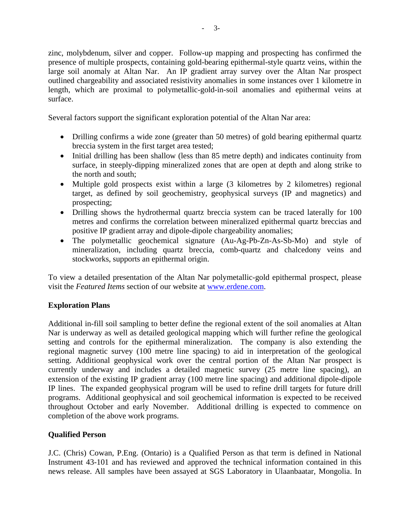zinc, molybdenum, silver and copper. Follow-up mapping and prospecting has confirmed the presence of multiple prospects, containing gold-bearing epithermal-style quartz veins, within the large soil anomaly at Altan Nar. An IP gradient array survey over the Altan Nar prospect outlined chargeability and associated resistivity anomalies in some instances over 1 kilometre in length, which are proximal to polymetallic-gold-in-soil anomalies and epithermal veins at surface.

Several factors support the significant exploration potential of the Altan Nar area:

- Drilling confirms a wide zone (greater than 50 metres) of gold bearing epithermal quartz breccia system in the first target area tested;
- Initial drilling has been shallow (less than 85 metre depth) and indicates continuity from surface, in steeply-dipping mineralized zones that are open at depth and along strike to the north and south;
- Multiple gold prospects exist within a large (3 kilometres by 2 kilometres) regional target, as defined by soil geochemistry, geophysical surveys (IP and magnetics) and prospecting;
- Drilling shows the hydrothermal quartz breccia system can be traced laterally for 100 metres and confirms the correlation between mineralized epithermal quartz breccias and positive IP gradient array and dipole-dipole chargeability anomalies;
- The polymetallic geochemical signature (Au-Ag-Pb-Zn-As-Sb-Mo) and style of mineralization, including quartz breccia, comb-quartz and chalcedony veins and stockworks, supports an epithermal origin.

To view a detailed presentation of the Altan Nar polymetallic-gold epithermal prospect, please visit the *Featured Items* section of our website at www.erdene.com.

## **Exploration Plans**

Additional in-fill soil sampling to better define the regional extent of the soil anomalies at Altan Nar is underway as well as detailed geological mapping which will further refine the geological setting and controls for the epithermal mineralization. The company is also extending the regional magnetic survey (100 metre line spacing) to aid in interpretation of the geological setting. Additional geophysical work over the central portion of the Altan Nar prospect is currently underway and includes a detailed magnetic survey (25 metre line spacing), an extension of the existing IP gradient array (100 metre line spacing) and additional dipole-dipole IP lines. The expanded geophysical program will be used to refine drill targets for future drill programs. Additional geophysical and soil geochemical information is expected to be received throughout October and early November. Additional drilling is expected to commence on completion of the above work programs.

## **Qualified Person**

J.C. (Chris) Cowan, P.Eng. (Ontario) is a Qualified Person as that term is defined in National Instrument 43-101 and has reviewed and approved the technical information contained in this news release. All samples have been assayed at SGS Laboratory in Ulaanbaatar, Mongolia. In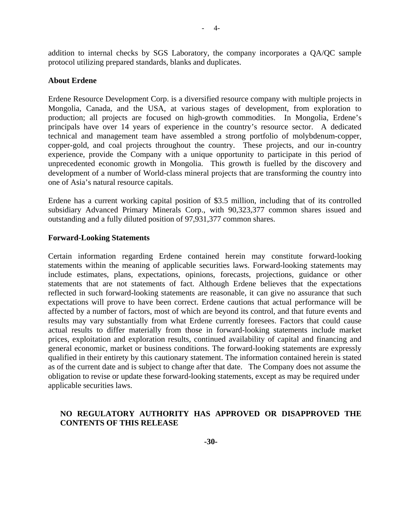addition to internal checks by SGS Laboratory, the company incorporates a QA/QC sample protocol utilizing prepared standards, blanks and duplicates.

#### **About Erdene**

Erdene Resource Development Corp. is a diversified resource company with multiple projects in Mongolia, Canada, and the USA, at various stages of development, from exploration to production; all projects are focused on high-growth commodities. In Mongolia, Erdene's principals have over 14 years of experience in the country's resource sector. A dedicated technical and management team have assembled a strong portfolio of molybdenum-copper, copper-gold, and coal projects throughout the country. These projects, and our in-country experience, provide the Company with a unique opportunity to participate in this period of unprecedented economic growth in Mongolia. This growth is fuelled by the discovery and development of a number of World-class mineral projects that are transforming the country into one of Asia's natural resource capitals.

Erdene has a current working capital position of \$3.5 million, including that of its controlled subsidiary Advanced Primary Minerals Corp., with 90,323,377 common shares issued and outstanding and a fully diluted position of 97,931,377 common shares.

#### **Forward-Looking Statements**

Certain information regarding Erdene contained herein may constitute forward-looking statements within the meaning of applicable securities laws. Forward-looking statements may include estimates, plans, expectations, opinions, forecasts, projections, guidance or other statements that are not statements of fact. Although Erdene believes that the expectations reflected in such forward-looking statements are reasonable, it can give no assurance that such expectations will prove to have been correct. Erdene cautions that actual performance will be affected by a number of factors, most of which are beyond its control, and that future events and results may vary substantially from what Erdene currently foresees. Factors that could cause actual results to differ materially from those in forward-looking statements include market prices, exploitation and exploration results, continued availability of capital and financing and general economic, market or business conditions. The forward-looking statements are expressly qualified in their entirety by this cautionary statement. The information contained herein is stated as of the current date and is subject to change after that date. The Company does not assume the obligation to revise or update these forward-looking statements, except as may be required under applicable securities laws.

#### **NO REGULATORY AUTHORITY HAS APPROVED OR DISAPPROVED THE CONTENTS OF THIS RELEASE**